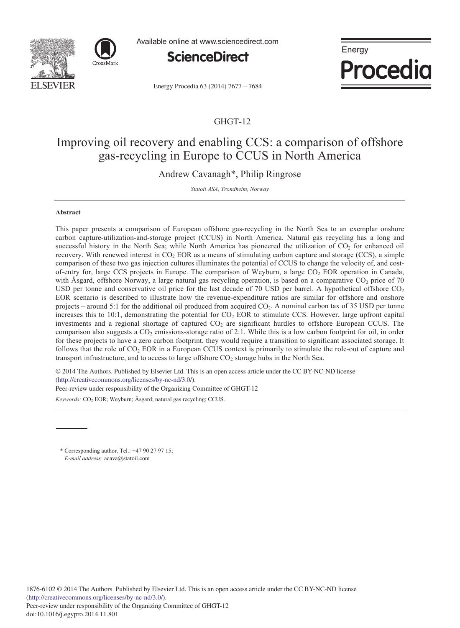



Available online at www.sciencedirect.com



Energy **Procedia** 

Energy Procedia 63 (2014) 7677 - 7684

## GHGT-12

# Improving oil recovery and enabling CCS: a comparison of offshore gas-recycling in Europe to CCUS in North America

Andrew Cavanagh\*, Philip Ringrose

*Statoil ASA, Trondheim, Norway*

## **Abstract**

This paper presents a comparison of European offshore gas-recycling in the North Sea to an exemplar onshore carbon capture-utilization-and-storage project (CCUS) in North America. Natural gas recycling has a long and successful history in the North Sea; while North America has pioneered the utilization of  $CO<sub>2</sub>$  for enhanced oil recovery. With renewed interest in  $CO<sub>2</sub> EOR$  as a means of stimulating carbon capture and storage (CCS), a simple comparison of these two gas injection cultures illuminates the potential of CCUS to change the velocity of, and costof-entry for, large CCS projects in Europe. The comparison of Weyburn, a large CO<sub>2</sub> EOR operation in Canada, with Åsgard, offshore Norway, a large natural gas recycling operation, is based on a comparative  $CO<sub>2</sub>$  price of 70 USD per tonne and conservative oil price for the last decade of 70 USD per barrel. A hypothetical offshore  $CO<sub>2</sub>$ EOR scenario is described to illustrate how the revenue-expenditure ratios are similar for offshore and onshore projects – around 5:1 for the additional oil produced from acquired CO2. A nominal carbon tax of 35 USD per tonne increases this to 10:1, demonstrating the potential for  $CO<sub>2</sub> EOR$  to stimulate CCS. However, large upfront capital investments and a regional shortage of captured  $CO<sub>2</sub>$  are significant hurdles to offshore European CCUS. The comparison also suggests a CO<sub>2</sub> emissions-storage ratio of 2:1. While this is a low carbon footprint for oil, in order for these projects to have a zero carbon footprint, they would require a transition to significant associated storage. It follows that the role of CO2 EOR in a European CCUS context is primarily to stimulate the role-out of capture and transport infrastructure, and to access to large offshore  $CO<sub>2</sub>$  storage hubs in the North Sea.

© 2013 The Authors. Published by Elsevier Ltd. © 2014 The Authors. Published by Elsevier Ltd. This is an open access article under the CC BY-NC-ND license (http://creativecommons.org/licenses/by-nc-nd/3.0/). Peer-review under responsibility of the Organizing Committee of GHGT-12

Keywords: CO<sub>2</sub> EOR; Weyburn; Åsgard; natural gas recycling; CCUS.

\* Corresponding author. Tel.: +47 90 27 97 15; *E-mail address:* acava@statoil.com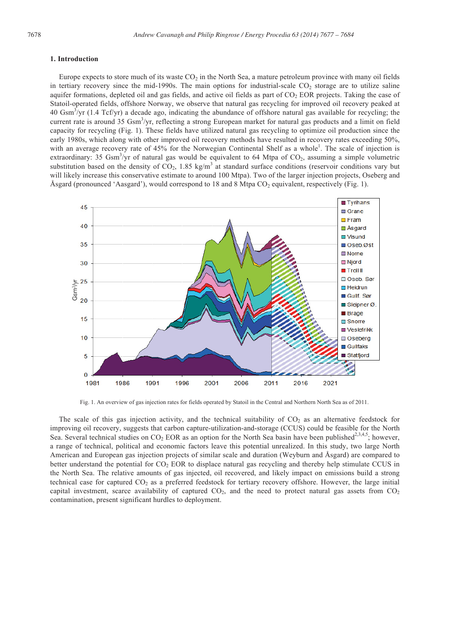### **1. Introduction**

Europe expects to store much of its waste  $CO<sub>2</sub>$  in the North Sea, a mature petroleum province with many oil fields in tertiary recovery since the mid-1990s. The main options for industrial-scale  $CO<sub>2</sub>$  storage are to utilize saline aquifer formations, depleted oil and gas fields, and active oil fields as part of  $CO<sub>2</sub> EOR$  projects. Taking the case of Statoil-operated fields, offshore Norway, we observe that natural gas recycling for improved oil recovery peaked at 40  $\text{Gsm}^3/\text{yr}$  (1.4 Tcf/yr) a decade ago, indicating the abundance of offshore natural gas available for recycling; the current rate is around 35 Gsm<sup>3</sup>/yr, reflecting a strong European market for natural gas products and a limit on field capacity for recycling (Fig. 1). These fields have utilized natural gas recycling to optimize oil production since the early 1980s, which along with other improved oil recovery methods have resulted in recovery rates exceeding 50%, with an average recovery rate of 45% for the Norwegian Continental Shelf as a whole<sup>1</sup>. The scale of injection is extraordinary: 35  $\text{Gsm}^3/\text{yr}$  of natural gas would be equivalent to 64 Mtpa of  $\text{CO}_2$ , assuming a simple volumetric substitution based on the density of  $CO_2$ , 1.85 kg/m<sup>3</sup> at standard surface conditions (reservoir conditions vary but will likely increase this conservative estimate to around 100 Mtpa). Two of the larger injection projects, Oseberg and Åsgard (pronounced 'Aasgard'), would correspond to 18 and 8 Mtpa  $CO<sub>2</sub>$  equivalent, respectively (Fig. 1).



Fig. 1. An overview of gas injection rates for fields operated by Statoil in the Central and Northern North Sea as of 2011.

The scale of this gas injection activity, and the technical suitability of  $CO<sub>2</sub>$  as an alternative feedstock for improving oil recovery, suggests that carbon capture-utilization-and-storage (CCUS) could be feasible for the North Sea. Several technical studies on  $CO_2$  EOR as an option for the North Sea basin have been published<sup>2,3,4,5</sup>; however, a range of technical, political and economic factors leave this potential unrealized. In this study, two large North American and European gas injection projects of similar scale and duration (Weyburn and Åsgard) are compared to better understand the potential for CO<sub>2</sub> EOR to displace natural gas recycling and thereby help stimulate CCUS in the North Sea. The relative amounts of gas injected, oil recovered, and likely impact on emissions build a strong technical case for captured  $CO<sub>2</sub>$  as a preferred feedstock for tertiary recovery offshore. However, the large initial capital investment, scarce availability of captured  $CO<sub>2</sub>$ , and the need to protect natural gas assets from  $CO<sub>2</sub>$ contamination, present significant hurdles to deployment.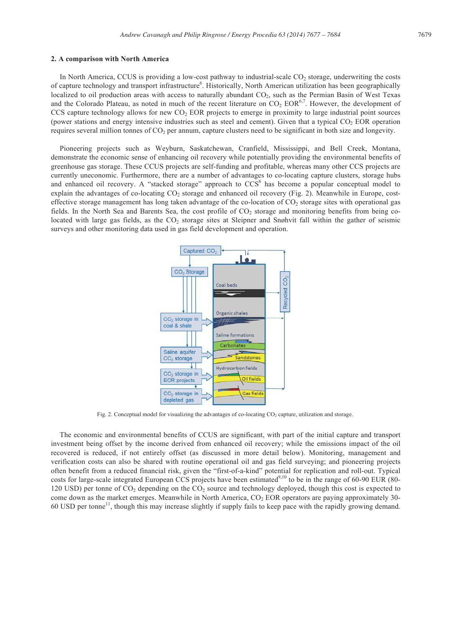### **2. A comparison with North America**

In North America, CCUS is providing a low-cost pathway to industrial-scale  $CO<sub>2</sub>$  storage, underwriting the costs of capture technology and transport infrastructure<sup>6</sup>. Historically, North American utilization has been geographically localized to oil production areas with access to naturally abundant  $CO<sub>2</sub>$ , such as the Permian Basin of West Texas and the Colorado Plateau, as noted in much of the recent literature on  $CO_2$  EOR<sup>6,7</sup>. However, the development of CCS capture technology allows for new  $CO<sub>2</sub> EOR$  projects to emerge in proximity to large industrial point sources (power stations and energy intensive industries such as steel and cement). Given that a typical  $CO<sub>2</sub>$  EOR operation requires several million tonnes of  $CO<sub>2</sub>$  per annum, capture clusters need to be significant in both size and longevity.

Pioneering projects such as Weyburn, Saskatchewan, Cranfield, Mississippi, and Bell Creek, Montana, demonstrate the economic sense of enhancing oil recovery while potentially providing the environmental benefits of greenhouse gas storage. These CCUS projects are self-funding and profitable, whereas many other CCS projects are currently uneconomic. Furthermore, there are a number of advantages to co-locating capture clusters, storage hubs and enhanced oil recovery. A "stacked storage" approach to CCS<sup>8</sup> has become a popular conceptual model to explain the advantages of co-locating CO<sub>2</sub> storage and enhanced oil recovery (Fig. 2). Meanwhile in Europe, costeffective storage management has long taken advantage of the co-location of  $CO<sub>2</sub>$  storage sites with operational gas fields. In the North Sea and Barents Sea, the cost profile of  $CO<sub>2</sub>$  storage and monitoring benefits from being colocated with large gas fields, as the CO<sub>2</sub> storage sites at Sleipner and Snøhvit fall within the gather of seismic surveys and other monitoring data used in gas field development and operation.



Fig. 2. Conceptual model for visualizing the advantages of co-locating CO<sub>2</sub> capture, utilization and storage.

The economic and environmental benefits of CCUS are significant, with part of the initial capture and transport investment being offset by the income derived from enhanced oil recovery; while the emissions impact of the oil recovered is reduced, if not entirely offset (as discussed in more detail below). Monitoring, management and verification costs can also be shared with routine operational oil and gas field surveying; and pioneering projects often benefit from a reduced financial risk, given the "first-of-a-kind" potential for replication and roll-out. Typical costs for large-scale integrated European CCS projects have been estimated<sup>9,10</sup> to be in the range of 60-90 EUR (80-120 USD) per tonne of  $CO<sub>2</sub>$  depending on the  $CO<sub>2</sub>$  source and technology deployed, though this cost is expected to come down as the market emerges. Meanwhile in North America, CO<sub>2</sub> EOR operators are paying approximately 30-60 USD per tonne11, though this may increase slightly if supply fails to keep pace with the rapidly growing demand.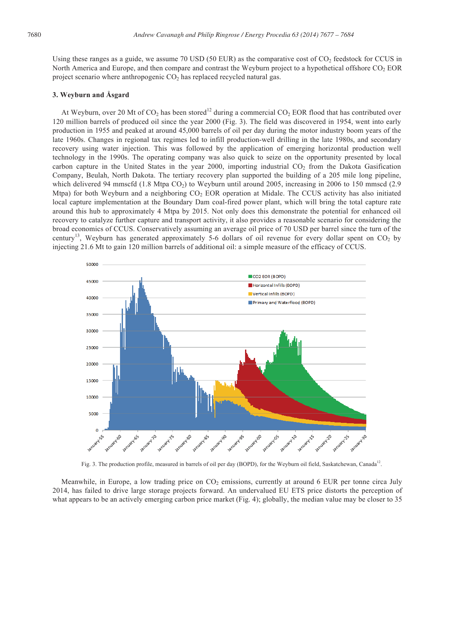Using these ranges as a guide, we assume 70 USD (50 EUR) as the comparative cost of  $CO<sub>2</sub>$  feedstock for CCUS in North America and Europe, and then compare and contrast the Weyburn project to a hypothetical offshore CO<sub>2</sub> EOR project scenario where anthropogenic  $CO<sub>2</sub>$  has replaced recycled natural gas.

## **3. Weyburn and Åsgard**

At Weyburn, over 20 Mt of CO<sub>2</sub> has been stored<sup>12</sup> during a commercial CO<sub>2</sub> EOR flood that has contributed over 120 million barrels of produced oil since the year 2000 (Fig. 3). The field was discovered in 1954, went into early production in 1955 and peaked at around 45,000 barrels of oil per day during the motor industry boom years of the late 1960s. Changes in regional tax regimes led to infill production-well drilling in the late 1980s, and secondary recovery using water injection. This was followed by the application of emerging horizontal production well technology in the 1990s. The operating company was also quick to seize on the opportunity presented by local carbon capture in the United States in the year 2000, importing industrial CO<sub>2</sub> from the Dakota Gasification Company, Beulah, North Dakota. The tertiary recovery plan supported the building of a 205 mile long pipeline, which delivered 94 mmscfd (1.8 Mtpa CO<sub>2</sub>) to Weyburn until around 2005, increasing in 2006 to 150 mmscd (2.9 Mtpa) for both Weyburn and a neighboring CO<sub>2</sub> EOR operation at Midale. The CCUS activity has also initiated local capture implementation at the Boundary Dam coal-fired power plant, which will bring the total capture rate around this hub to approximately 4 Mtpa by 2015. Not only does this demonstrate the potential for enhanced oil recovery to catalyze further capture and transport activity, it also provides a reasonable scenario for considering the broad economics of CCUS. Conservatively assuming an average oil price of 70 USD per barrel since the turn of the century<sup>13</sup>, Weyburn has generated approximately 5-6 dollars of oil revenue for every dollar spent on  $CO<sub>2</sub>$  by injecting 21.6 Mt to gain 120 million barrels of additional oil: a simple measure of the efficacy of CCUS.



Fig. 3. The production profile, measured in barrels of oil per day (BOPD), for the Weyburn oil field, Saskatchewan, Canada<sup>12</sup>.

Meanwhile, in Europe, a low trading price on  $CO<sub>2</sub>$  emissions, currently at around 6 EUR per tonne circa July 2014, has failed to drive large storage projects forward. An undervalued EU ETS price distorts the perception of what appears to be an actively emerging carbon price market (Fig. 4); globally, the median value may be closer to 35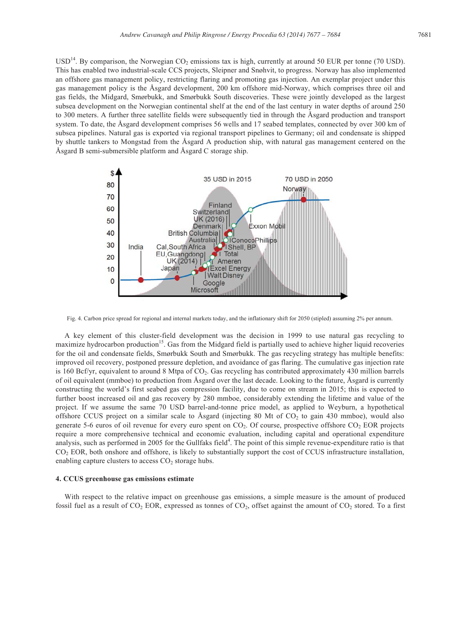$USD<sup>14</sup>$ . By comparison, the Norwegian CO<sub>2</sub> emissions tax is high, currently at around 50 EUR per tonne (70 USD). This has enabled two industrial-scale CCS projects, Sleipner and Snøhvit, to progress. Norway has also implemented an offshore gas management policy, restricting flaring and promoting gas injection. An exemplar project under this gas management policy is the Åsgard development, 200 km offshore mid-Norway, which comprises three oil and gas fields, the Midgard, Smørbukk, and Smørbukk South discoveries. These were jointly developed as the largest subsea development on the Norwegian continental shelf at the end of the last century in water depths of around 250 to 300 meters. A further three satellite fields were subsequently tied in through the Åsgard production and transport system. To date, the Åsgard development comprises 56 wells and 17 seabed templates, connected by over 300 km of subsea pipelines. Natural gas is exported via regional transport pipelines to Germany; oil and condensate is shipped by shuttle tankers to Mongstad from the Åsgard A production ship, with natural gas management centered on the Åsgard B semi-submersible platform and Åsgard C storage ship.



Fig. 4. Carbon price spread for regional and internal markets today, and the inflationary shift for 2050 (stipled) assuming 2% per annum.

A key element of this cluster-field development was the decision in 1999 to use natural gas recycling to maximize hydrocarbon production<sup>15</sup>. Gas from the Midgard field is partially used to achieve higher liquid recoveries for the oil and condensate fields, Smørbukk South and Smørbukk. The gas recycling strategy has multiple benefits: improved oil recovery, postponed pressure depletion, and avoidance of gas flaring. The cumulative gas injection rate is 160 Bcf/yr, equivalent to around 8 Mtpa of  $CO<sub>2</sub>$ . Gas recycling has contributed approximately 430 million barrels of oil equivalent (mmboe) to production from Åsgard over the last decade. Looking to the future, Åsgard is currently constructing the world's first seabed gas compression facility, due to come on stream in 2015; this is expected to further boost increased oil and gas recovery by 280 mmboe, considerably extending the lifetime and value of the project. If we assume the same 70 USD barrel-and-tonne price model, as applied to Weyburn, a hypothetical offshore CCUS project on a similar scale to Åsgard (injecting 80 Mt of  $CO<sub>2</sub>$  to gain 430 mmboe), would also generate 5-6 euros of oil revenue for every euro spent on CO<sub>2</sub>. Of course, prospective offshore CO<sub>2</sub> EOR projects require a more comprehensive technical and economic evaluation, including capital and operational expenditure analysis, such as performed in 2005 for the Gullfaks field $4$ . The point of this simple revenue-expenditure ratio is that CO<sub>2</sub> EOR, both onshore and offshore, is likely to substantially support the cost of CCUS infrastructure installation, enabling capture clusters to access  $CO<sub>2</sub>$  storage hubs.

#### **4. CCUS greenhouse gas emissions estimate**

With respect to the relative impact on greenhouse gas emissions, a simple measure is the amount of produced fossil fuel as a result of  $CO_2$  EOR, expressed as tonnes of  $CO_2$ , offset against the amount of  $CO_2$  stored. To a first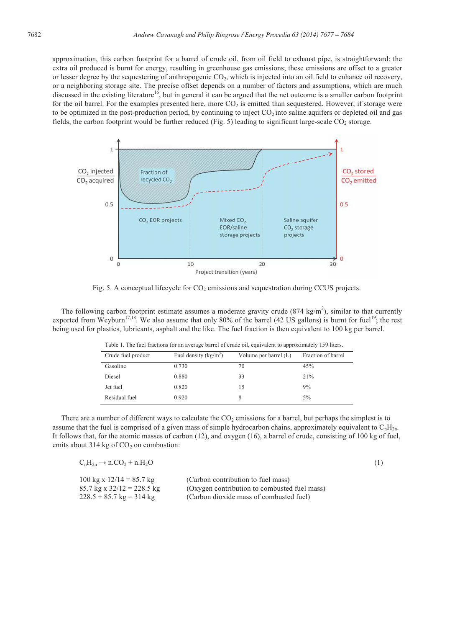approximation, this carbon footprint for a barrel of crude oil, from oil field to exhaust pipe, is straightforward: the extra oil produced is burnt for energy, resulting in greenhouse gas emissions; these emissions are offset to a greater or lesser degree by the sequestering of anthropogenic CO2, which is injected into an oil field to enhance oil recovery, or a neighboring storage site. The precise offset depends on a number of factors and assumptions, which are much discussed in the existing literature<sup>16</sup>, but in general it can be argued that the net outcome is a smaller carbon footprint for the oil barrel. For the examples presented here, more CO<sub>2</sub> is emitted than sequestered. However, if storage were to be optimized in the post-production period, by continuing to inject  $CO<sub>2</sub>$  into saline aquifers or depleted oil and gas fields, the carbon footprint would be further reduced (Fig. 5) leading to significant large-scale  $CO<sub>2</sub>$  storage.



Fig. 5. A conceptual lifecycle for CO<sub>2</sub> emissions and sequestration during CCUS projects.

The following carbon footprint estimate assumes a moderate gravity crude  $(874 \text{ kg/m}^3)$ , similar to that currently exported from Weyburn<sup>17,18</sup>. We also assume that only 80% of the barrel (42 US gallons) is burnt for fuel<sup>19</sup>; the rest being used for plastics, lubricants, asphalt and the like. The fuel fraction is then equivalent to 100 kg per barrel.

| Tuble 1. The rue muchons for an average barrer or crude on, equivalent to approximately 159 mers. |                         |                         |                    |  |
|---------------------------------------------------------------------------------------------------|-------------------------|-------------------------|--------------------|--|
| Crude fuel product                                                                                | Fuel density $(kg/m^3)$ | Volume per barrel $(L)$ | Fraction of barrel |  |
| Gasoline                                                                                          | 0.730                   | 70                      | 45%                |  |
| Diesel                                                                                            | 0.880                   | 33                      | 21%                |  |
| Jet fuel                                                                                          | 0.820                   | 15                      | 9%                 |  |
| Residual fuel                                                                                     | 0.920                   |                         | 5%                 |  |
|                                                                                                   |                         |                         |                    |  |

Table 1. The fuel fractions for an average barrel of crude oil, equivalent to approximately 159 liters.

There are a number of different ways to calculate the  $CO<sub>2</sub>$  emissions for a barrel, but perhaps the simplest is to assume that the fuel is comprised of a given mass of simple hydrocarbon chains, approximately equivalent to  $C_nH_{2n}$ . It follows that, for the atomic masses of carbon (12), and oxygen (16), a barrel of crude, consisting of 100 kg of fuel, emits about 314 kg of  $CO<sub>2</sub>$  on combustion:

| $C_nH_{2n} \rightarrow n.CO_2 + n.H_2O$           | (1)                                          |  |
|---------------------------------------------------|----------------------------------------------|--|
| $100 \text{ kg} \times 12/14 = 85.7 \text{ kg}$   | (Carbon contribution to fuel mass)           |  |
| $85.7 \text{ kg} \times 32/12 = 228.5 \text{ kg}$ | (Oxygen contribution to combusted fuel mass) |  |
| $228.5 + 85.7$ kg = 314 kg                        | (Carbon dioxide mass of combusted fuel)      |  |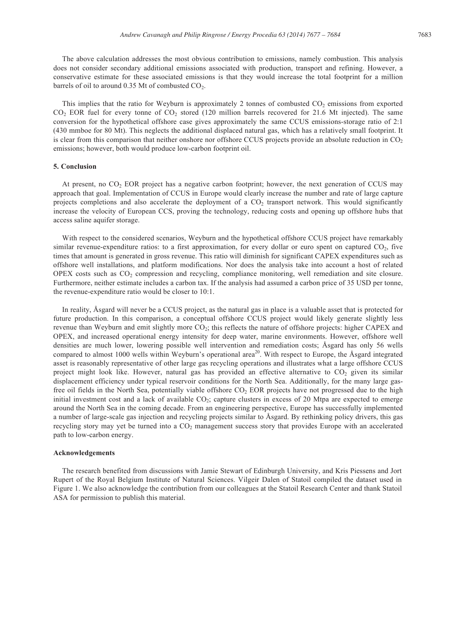The above calculation addresses the most obvious contribution to emissions, namely combustion. This analysis does not consider secondary additional emissions associated with production, transport and refining. However, a conservative estimate for these associated emissions is that they would increase the total footprint for a million barrels of oil to around  $0.35$  Mt of combusted  $CO<sub>2</sub>$ .

This implies that the ratio for Weyburn is approximately 2 tonnes of combusted  $CO<sub>2</sub>$  emissions from exported CO<sub>2</sub> EOR fuel for every tonne of CO<sub>2</sub> stored (120 million barrels recovered for 21.6 Mt injected). The same conversion for the hypothetical offshore case gives approximately the same CCUS emissions-storage ratio of 2:1 (430 mmboe for 80 Mt). This neglects the additional displaced natural gas, which has a relatively small footprint. It is clear from this comparison that neither onshore nor offshore CCUS projects provide an absolute reduction in  $CO<sub>2</sub>$ emissions; however, both would produce low-carbon footprint oil.

#### **5. Conclusion**

At present, no  $CO<sub>2</sub> EOR$  project has a negative carbon footprint; however, the next generation of CCUS may approach that goal. Implementation of CCUS in Europe would clearly increase the number and rate of large capture projects completions and also accelerate the deployment of a  $CO<sub>2</sub>$  transport network. This would significantly increase the velocity of European CCS, proving the technology, reducing costs and opening up offshore hubs that access saline aquifer storage.

With respect to the considered scenarios, Weyburn and the hypothetical offshore CCUS project have remarkably similar revenue-expenditure ratios: to a first approximation, for every dollar or euro spent on captured  $CO<sub>2</sub>$ , five times that amount is generated in gross revenue. This ratio will diminish for significant CAPEX expenditures such as offshore well installations, and platform modifications. Nor does the analysis take into account a host of related OPEX costs such as  $CO<sub>2</sub>$  compression and recycling, compliance monitoring, well remediation and site closure. Furthermore, neither estimate includes a carbon tax. If the analysis had assumed a carbon price of 35 USD per tonne, the revenue-expenditure ratio would be closer to 10:1.

In reality, Åsgard will never be a CCUS project, as the natural gas in place is a valuable asset that is protected for future production. In this comparison, a conceptual offshore CCUS project would likely generate slightly less revenue than Weyburn and emit slightly more  $CO_2$ ; this reflects the nature of offshore projects: higher CAPEX and OPEX, and increased operational energy intensity for deep water, marine environments. However, offshore well densities are much lower, lowering possible well intervention and remediation costs; Åsgard has only 56 wells compared to almost 1000 wells within Weyburn's operational area<sup>20</sup>. With respect to Europe, the Åsgard integrated asset is reasonably representative of other large gas recycling operations and illustrates what a large offshore CCUS project might look like. However, natural gas has provided an effective alternative to CO<sub>2</sub> given its similar displacement efficiency under typical reservoir conditions for the North Sea. Additionally, for the many large gasfree oil fields in the North Sea, potentially viable offshore  $CO<sub>2</sub> EOR$  projects have not progressed due to the high initial investment cost and a lack of available  $CO<sub>2</sub>$ ; capture clusters in excess of 20 Mtpa are expected to emerge around the North Sea in the coming decade. From an engineering perspective, Europe has successfully implemented a number of large-scale gas injection and recycling projects similar to Åsgard. By rethinking policy drivers, this gas recycling story may yet be turned into a CO<sub>2</sub> management success story that provides Europe with an accelerated path to low-carbon energy.

#### **Acknowledgements**

The research benefited from discussions with Jamie Stewart of Edinburgh University, and Kris Piessens and Jort Rupert of the Royal Belgium Institute of Natural Sciences. Vilgeir Dalen of Statoil compiled the dataset used in Figure 1. We also acknowledge the contribution from our colleagues at the Statoil Research Center and thank Statoil ASA for permission to publish this material.